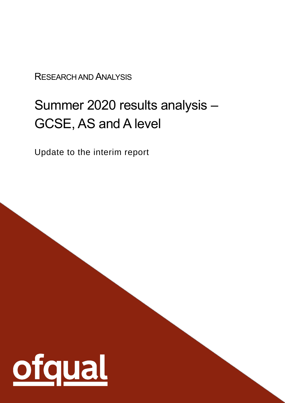RESEARCH AND ANALYSIS

# Summer 2020 results analysis – GCSE, AS and A level

Update to the interim report

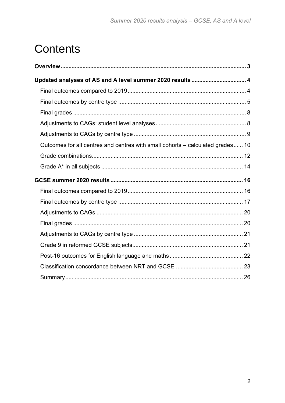# **Contents**

| Updated analyses of AS and A level summer 2020 results 4                       |  |
|--------------------------------------------------------------------------------|--|
|                                                                                |  |
|                                                                                |  |
|                                                                                |  |
|                                                                                |  |
|                                                                                |  |
| Outcomes for all centres and centres with small cohorts – calculated grades 10 |  |
|                                                                                |  |
|                                                                                |  |
|                                                                                |  |
|                                                                                |  |
|                                                                                |  |
|                                                                                |  |
|                                                                                |  |
|                                                                                |  |
|                                                                                |  |
|                                                                                |  |
|                                                                                |  |
|                                                                                |  |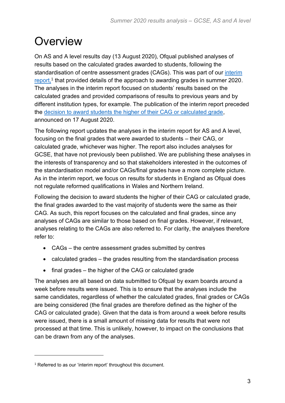## <span id="page-2-0"></span>**Overview**

On AS and A level results day (13 August 2020), Ofqual published analyses of results based on the calculated grades awarded to students, following the standardisation of centre assessment grades (CAGs). This was part of our interim [report,](https://www.gov.uk/government/publications/awarding-gcse-as-a-levels-in-summer-2020-interim-report)<sup>1</sup> that provided details of the approach to awarding grades in summer 2020. The analyses in the interim report focused on students' results based on the calculated grades and provided comparisons of results to previous years and by different institution types, for example. The publication of the interim report preceded the [decision to award students the higher of their CAG or calculated grade,](https://www.gov.uk/government/news/statement-from-roger-taylor-chair-ofqual) announced on 17 August 2020.

The following report updates the analyses in the interim report for AS and A level, focusing on the final grades that were awarded to students – their CAG, or calculated grade, whichever was higher. The report also includes analyses for GCSE, that have not previously been published. We are publishing these analyses in the interests of transparency and so that stakeholders interested in the outcomes of the standardisation model and/or CAGs/final grades have a more complete picture. As in the interim report, we focus on results for students in England as Ofqual does not regulate reformed qualifications in Wales and Northern Ireland.

Following the decision to award students the higher of their CAG or calculated grade, the final grades awarded to the vast majority of students were the same as their CAG. As such, this report focuses on the calculated and final grades, since any analyses of CAGs are similar to those based on final grades. However, if relevant, analyses relating to the CAGs are also referred to. For clarity, the analyses therefore refer to:

- CAGs the centre assessment grades submitted by centres
- calculated grades the grades resulting from the standardisation process
- final grades the higher of the CAG or calculated grade

The analyses are all based on data submitted to Ofqual by exam boards around a week before results were issued. This is to ensure that the analyses include the same candidates, regardless of whether the calculated grades, final grades or CAGs are being considered (the final grades are therefore defined as the higher of the CAG or calculated grade). Given that the data is from around a week before results were issued, there is a small amount of missing data for results that were not processed at that time. This is unlikely, however, to impact on the conclusions that can be drawn from any of the analyses.

<sup>&</sup>lt;sup>1</sup> Referred to as our 'interim report' throughout this document.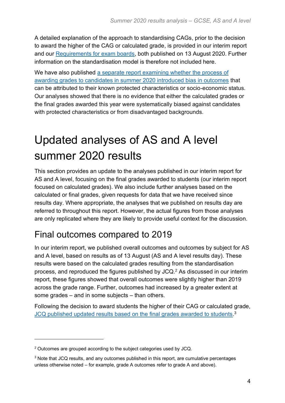A detailed explanation of the approach to standardising CAGs, prior to the decision to award the higher of the CAG or calculated grade, is provided in our interim report and our [Requirements for exam boards,](https://www.gov.uk/government/publications/requirements-for-the-calculation-of-results-in-summer-2020) both published on 13 August 2020. Further information on the standardisation model is therefore not included here.

We have also published a separate report examining whether the process of [awarding grades to candidates in summer 2020 introduced bias in outcomes](https://www.gov.uk/government/publications/student-level-equalities-analyses-for-gcse-and-a-level) that can be attributed to their known protected characteristics or socio-economic status. Our analyses showed that there is no evidence that either the calculated grades or the final grades awarded this year were systematically biased against candidates with protected characteristics or from disadvantaged backgrounds.

# <span id="page-3-0"></span>Updated analyses of AS and A level summer 2020 results

This section provides an update to the analyses published in our interim report for AS and A level, focusing on the final grades awarded to students (our interim report focused on calculated grades). We also include further analyses based on the calculated or final grades, given requests for data that we have received since results day. Where appropriate, the analyses that we published on results day are referred to throughout this report. However, the actual figures from those analyses are only replicated where they are likely to provide useful context for the discussion.

## <span id="page-3-1"></span>Final outcomes compared to 2019

In our interim report, we published overall outcomes and outcomes by subject for AS and A level, based on results as of 13 August (AS and A level results day). These results were based on the calculated grades resulting from the standardisation process, and reproduced the figures published by JCQ.<sup>2</sup> As discussed in our interim report, these figures showed that overall outcomes were slightly higher than 2019 across the grade range. Further, outcomes had increased by a greater extent at some grades – and in some subjects – than others.

Following the decision to award students the higher of their CAG or calculated grade, [JCQ published updated results based on the final grades awarded to students.](https://www.jcq.org.uk/examination-results/)<sup>3</sup>

<sup>2</sup> Outcomes are grouped according to the subject categories used by JCQ.

<sup>&</sup>lt;sup>3</sup> Note that JCQ results, and any outcomes published in this report, are cumulative percentages unless otherwise noted – for example, grade A outcomes refer to grade A and above).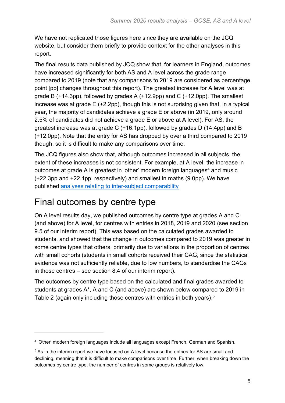We have not replicated those figures here since they are available on the JCQ website, but consider them briefly to provide context for the other analyses in this report.

The final results data published by JCQ show that, for learners in England, outcomes have increased significantly for both AS and A level across the grade range compared to 2019 (note that any comparisons to 2019 are considered as percentage point [pp] changes throughout this report). The greatest increase for A level was at grade B (+14.3pp), followed by grades A (+12.9pp) and C (+12.0pp). The smallest increase was at grade E (+2.2pp), though this is not surprising given that, in a typical year, the majority of candidates achieve a grade E or above (in 2019, only around 2.5% of candidates did not achieve a grade E or above at A level). For AS, the greatest increase was at grade C (+16.1pp), followed by grades D (14.4pp) and B (+12.0pp). Note that the entry for AS has dropped by over a third compared to 2019 though, so it is difficult to make any comparisons over time.

The JCQ figures also show that, although outcomes increased in all subjects, the extent of these increases is not consistent. For example, at A level, the increase in outcomes at grade A is greatest in 'other' modern foreign languages<sup>4</sup> and music (+22.3pp and +22.1pp, respectively) and smallest in maths (9.0pp). We have published [analyses relating to inter-subject comparability](https://www.gov.uk/government/publications/inter-subject-comparability-in-gcses-and-a-levels-in-2020)

## <span id="page-4-0"></span>Final outcomes by centre type

On A level results day, we published outcomes by centre type at grades A and C (and above) for A level, for centres with entries in 2018, 2019 and 2020 (see section 9.5 of our interim report). This was based on the calculated grades awarded to students, and showed that the change in outcomes compared to 2019 was greater in some centre types that others, primarily due to variations in the proportion of centres with small cohorts (students in small cohorts received their CAG, since the statistical evidence was not sufficiently reliable, due to low numbers, to standardise the CAGs in those centres – see section 8.4 of our interim report).

The outcomes by centre type based on the calculated and final grades awarded to students at grades A\*, A and C (and above) are shown below compared to 2019 in Table 2 (again only including those centres with entries in both years).<sup>5</sup>

<sup>4</sup> 'Other' modern foreign languages include all languages except French, German and Spanish.

<sup>&</sup>lt;sup>5</sup> As in the interim report we have focused on A level because the entries for AS are small and declining, meaning that it is difficult to make comparisons over time. Further, when breaking down the outcomes by centre type, the number of centres in some groups is relatively low.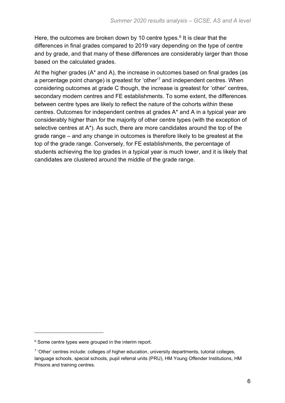Here, the outcomes are broken down by 10 centre types.<sup>6</sup> It is clear that the differences in final grades compared to 2019 vary depending on the type of centre and by grade, and that many of these differences are considerably larger than those based on the calculated grades.

At the higher grades (A\* and A), the increase in outcomes based on final grades (as a percentage point change) is greatest for 'other'<sup>7</sup> and independent centres. When considering outcomes at grade C though, the increase is greatest for 'other' centres, secondary modern centres and FE establishments. To some extent, the differences between centre types are likely to reflect the nature of the cohorts within these centres. Outcomes for independent centres at grades A\* and A in a typical year are considerably higher than for the majority of other centre types (with the exception of selective centres at A\*). As such, there are more candidates around the top of the grade range – and any change in outcomes is therefore likely to be greatest at the top of the grade range. Conversely, for FE establishments, the percentage of students achieving the top grades in a typical year is much lower, and it is likely that candidates are clustered around the middle of the grade range.

<sup>&</sup>lt;sup>6</sup> Some centre types were grouped in the interim report.

<sup>&</sup>lt;sup>7</sup> 'Other' centres include: colleges of higher education, university departments, tutorial colleges, language schools, special schools, pupil referral units (PRU), HM Young Offender Institutions, HM Prisons and training centres.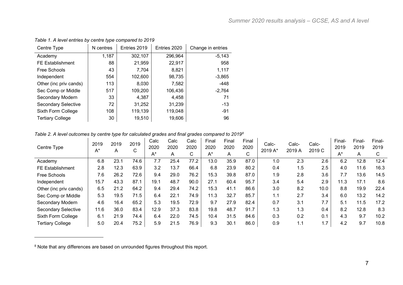| Centre Type                | N centres | Entries 2019 | Entries 2020 | Change in entries |
|----------------------------|-----------|--------------|--------------|-------------------|
| Academy                    | 1,187     | 302,107      | 296,964      | $-5,143$          |
| <b>FE Establishment</b>    | 88        | 21,959       | 22,917       | 958               |
| Free Schools               | 43        | 7,704        | 8,821        | 1,117             |
| Independent                | 554       | 102,600      | 98,735       | $-3,865$          |
| Other (inc priv cands)     | 113       | 8,030        | 7,582        | -448              |
| Sec Comp or Middle         | 517       | 109,200      | 106,436      | $-2,764$          |
| Secondary Modern           | 33        | 4,387        | 4,458        | 71                |
| <b>Secondary Selective</b> | 72        | 31,252       | 31,239       | $-13$             |
| Sixth Form College         | 108       | 119,139      | 119,048      | $-91$             |
| <b>Tertiary College</b>    | 30        | 19,510       | 19,606       | 96                |

*Table 1. A level entries by centre type compared to 2019*

#### *Table 2. A level outcomes by centre type for calculated grades and final grades compared to 2019<sup>8</sup>*

|                            | 2019<br>2019<br>2019 |      | Calc | Calc  | Calc | Final | Final | Final | Calc-<br>Calc- |         | Calc-  | Final- | Final- | Final- |      |
|----------------------------|----------------------|------|------|-------|------|-------|-------|-------|----------------|---------|--------|--------|--------|--------|------|
| Centre Type                | $A^*$                | A    | C    | 2020  | 2020 | 2020  | 2020  | 2020  | 2020           | 2019 A* | 2019 A | 2019 C | 2019   | 2019   | 2019 |
|                            |                      |      |      | $A^*$ | A    | C.    | $A^*$ | A     | C.             |         |        |        | $A^*$  |        |      |
| Academy                    | 6.8                  | 23.1 | 74.6 | 7.7   | 25.4 | 77.2  | 13.0  | 35.9  | 87.0           | 1.0     | 2.3    | 2.6    | 6.2    | 12.8   | 12.4 |
| FE Establishment           | 2.8                  | 12.3 | 63.9 | 3.2   | 13.7 | 66.4  | 6.8   | 23.9  | 80.2           | 0.4     | 1.5    | 2.5    | 4.0    | 11.6   | 16.3 |
| Free Schools               | 7.6                  | 26.2 | 72.6 | 9.4   | 29.0 | 76.2  | 15.3  | 39.8  | 87.0           | 1.9     | 2.8    | 3.6    | 7.7    | 13.6   | 14.5 |
| Independent                | 15.7                 | 43.3 | 87.1 | 19.1  | 48.7 | 90.0  | 27.1  | 60.4  | 95.7           | 3.4     | 5.4    | 2.9    | 11.3   | 17.1   | 8.6  |
| Other (inc priv cands)     | 6.5                  | 21.2 | 64.2 | 9.4   | 29.4 | 74.2  | 15.3  | 41.1  | 86.6           | 3.0     | 8.2    | 10.0   | 8.8    | 19.9   | 22.4 |
| Sec Comp or Middle         | 5.3                  | 19.5 | 71.5 | 6.4   | 22.1 | 74.9  | 11.3  | 32.7  | 85.7           | 1.1     | 2.7    | 3.4    | 6.0    | 13.2   | 14.2 |
| Secondary Modern           | 4.6                  | 16.4 | 65.2 | 5.3   | 19.5 | 72.9  | 9.7   | 27.9  | 82.4           | 0.7     | 3.1    | 7.7    | 5.1    | 11.5   | 17.2 |
| <b>Secondary Selective</b> | 11.6                 | 36.0 | 83.4 | 12.9  | 37.3 | 83.8  | 19.8  | 48.7  | 91.7           | 1.3     | 1.3    | 0.4    | 8.2    | 12.8   | 8.3  |
| Sixth Form College         | 6.1                  | 21.9 | 74.4 | 6.4   | 22.0 | 74.5  | 10.4  | 31.5  | 84.6           | 0.3     | 0.2    | 0.1    | 4.3    | 9.7    | 10.2 |
| <b>Tertiary College</b>    | 5.0                  | 20.4 | 75.2 | 5.9   | 21.5 | 76.9  | 9.3   | 30.1  | 86.0           | 0.9     | 1.1    | 1.7    | 4.2    | 9.7    | 10.8 |

 $8$  Note that any differences are based on unrounded figures throughout this report.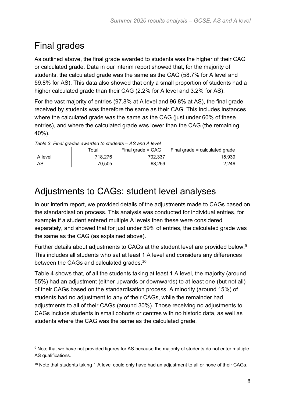## <span id="page-7-0"></span>Final grades

As outlined above, the final grade awarded to students was the higher of their CAG or calculated grade. Data in our interim report showed that, for the majority of students, the calculated grade was the same as the CAG (58.7% for A level and 59.8% for AS). This data also showed that only a small proportion of students had a higher calculated grade than their CAG (2.2% for A level and 3.2% for AS).

For the vast majority of entries (97.8% at A level and 96.8% at AS), the final grade received by students was therefore the same as their CAG. This includes instances where the calculated grade was the same as the CAG (just under 60% of these entries), and where the calculated grade was lower than the CAG (the remaining 40%).

| Table 3. Final grades awarded to students – AS and A level |         |                     |                                  |  |  |  |  |  |
|------------------------------------------------------------|---------|---------------------|----------------------------------|--|--|--|--|--|
|                                                            | Totall  | Final grade $= CAG$ | Final grade $=$ calculated grade |  |  |  |  |  |
| A level                                                    | 718.276 | 702.337             | 15.939                           |  |  |  |  |  |
| AS                                                         | 70.505  | 68.259              | 2.246                            |  |  |  |  |  |

## <span id="page-7-1"></span>Adjustments to CAGs: student level analyses

In our interim report, we provided details of the adjustments made to CAGs based on the standardisation process. This analysis was conducted for individual entries, for example if a student entered multiple A levels then these were considered separately, and showed that for just under 59% of entries, the calculated grade was the same as the CAG (as explained above).

Further details about adjustments to CAGs at the student level are provided below.<sup>9</sup> This includes all students who sat at least 1 A level and considers any differences between the CAGs and calculated grades.<sup>10</sup>

Table 4 shows that, of all the students taking at least 1 A level, the majority (around 55%) had an adjustment (either upwards or downwards) to at least one (but not all) of their CAGs based on the standardisation process. A minority (around 15%) of students had no adjustment to any of their CAGs, while the remainder had adjustments to all of their CAGs (around 30%). Those receiving no adjustments to CAGs include students in small cohorts or centres with no historic data, as well as students where the CAG was the same as the calculated grade.

<sup>9</sup> Note that we have not provided figures for AS because the majority of students do not enter multiple AS qualifications.

 $10$  Note that students taking 1 A level could only have had an adjustment to all or none of their CAGs.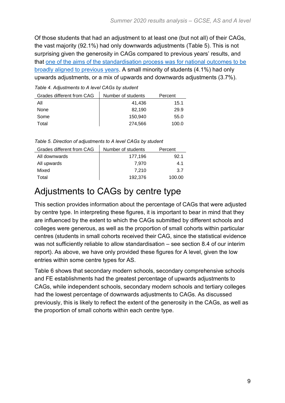Of those students that had an adjustment to at least one (but not all) of their CAGs, the vast majority (92.1%) had only downwards adjustments (Table 5). This is not surprising given the generosity in CAGs compared to previous years' results, and that [one of the aims of the standardisation process was for national outcomes to be](https://www.gov.uk/government/publications/direction-issued-to-the-chief-regulator-of-ofqual)  [broadly aligned to previous years.](https://www.gov.uk/government/publications/direction-issued-to-the-chief-regulator-of-ofqual) A small minority of students (4.1%) had only upwards adjustments, or a mix of upwards and downwards adjustments (3.7%).

*Table 4. Adjustments to A level CAGs by student*

| Grades different from CAG | Number of students | Percent |
|---------------------------|--------------------|---------|
| All                       | 41.436             | 15.1    |
| None                      | 82.190             | 29.9    |
| Some                      | 150.940            | 55.0    |
| Total                     | 274.566            | 100.0   |

*Table 5. Direction of adjustments to A level CAGs by student*

| Grades different from CAG | Number of students | Percent |
|---------------------------|--------------------|---------|
| All downwards             | 177,196            | 92.1    |
| All upwards               | 7.970              | 4.1     |
| Mixed                     | 7.210              | 3.7     |
| Total                     | 192.376            | 100.00  |

#### <span id="page-8-0"></span>Adjustments to CAGs by centre type

This section provides information about the percentage of CAGs that were adjusted by centre type. In interpreting these figures, it is important to bear in mind that they are influenced by the extent to which the CAGs submitted by different schools and colleges were generous, as well as the proportion of small cohorts within particular centres (students in small cohorts received their CAG, since the statistical evidence was not sufficiently reliable to allow standardisation – see section 8.4 of our interim report). As above, we have only provided these figures for A level, given the low entries within some centre types for AS.

Table 6 shows that secondary modern schools, secondary comprehensive schools and FE establishments had the greatest percentage of upwards adjustments to CAGs, while independent schools, secondary modern schools and tertiary colleges had the lowest percentage of downwards adjustments to CAGs. As discussed previously, this is likely to reflect the extent of the generosity in the CAGs, as well as the proportion of small cohorts within each centre type.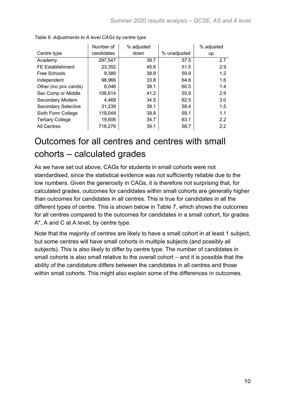|                            | Number of  | % adjusted |              | % adjusted |
|----------------------------|------------|------------|--------------|------------|
| Centre type                | candidates | down       | % unadjusted | up         |
| Academy                    | 297,547    | 39.7       | 57.5         | 2.7        |
| <b>FE Establishment</b>    | 23,352     | 45.6       | 51.5         | 2.9        |
| Free Schools               | 9,389      | 38.9       | 59.9         | 1.2        |
| Independent                | 98,966     | 33.8       | 64.6         | 1.6        |
| Other (inc priv cands)     | 8,046      | 38.1       | 60.5         | 1.4        |
| Sec Comp or Middle         | 106,614    | 41.2       | 55.9         | 2.9        |
| Secondary Modern           | 4,469      | 34.5       | 62.5         | 3.0        |
| <b>Secondary Selective</b> | 31,239     | 39.1       | 59.4         | 1.5        |
| Sixth Form College         | 119,048    | 39.8       | 59.1         | 1.1        |
| <b>Tertiary College</b>    | 19,606     | 34.7       | 63.1         | 2.2        |
| <b>All Centres</b>         | 718,276    | 39.1       | 58.7         | 2.2        |

#### <span id="page-9-0"></span>Outcomes for all centres and centres with small cohorts – calculated grades

As we have set out above, CAGs for students in small cohorts were not standardised, since the statistical evidence was not sufficiently reliable due to the low numbers. Given the generosity in CAGs, it is therefore not surprising that, for calculated grades, outcomes for candidates within small cohorts are generally higher than outcomes for candidates in all centres. This is true for candidates in all the different types of centre. This is shown below in Table 7, which shows the outcomes for all centres compared to the outcomes for candidates in a small cohort, for grades A\*, A and C at A level, by centre type.

Note that the majority of centres are likely to have a small cohort in at least 1 subject, but some centres will have small cohorts in multiple subjects (and possibly all subjects). This is also likely to differ by centre type. The number of candidates in small cohorts is also small relative to the overall cohort – and it is possible that the ability of the candidature differs between the candidates in all centres and those within small cohorts. This might also explain some of the differences in outcomes.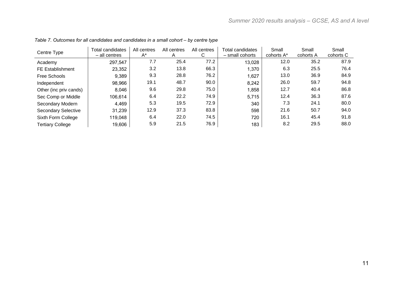| Centre Type                | Total candidates<br>- all centres | All centres<br>$A^*$ | All centres<br>A | All centres<br>С | <b>Total candidates</b><br>- small cohorts | Small<br>cohorts A* | Small<br>cohorts A | Small<br>cohorts C |
|----------------------------|-----------------------------------|----------------------|------------------|------------------|--------------------------------------------|---------------------|--------------------|--------------------|
| Academy                    | 297,547                           | 7.7                  | 25.4             | 77.2             | 13,028                                     | 12.0                | 35.2               | 87.9               |
| <b>FE Establishment</b>    | 23,352                            | 3.2                  | 13.8             | 66.3             | 1,370                                      | 6.3                 | 25.5               | 76.4               |
| Free Schools               | 9,389                             | 9.3                  | 28.8             | 76.2             | 1,627                                      | 13.0                | 36.9               | 84.9               |
| Independent                | 98,966                            | 19.1                 | 48.7             | 90.0             | 8,242                                      | 26.0                | 59.7               | 94.8               |
| Other (inc priv cands)     | 8,046                             | 9.6                  | 29.8             | 75.0             | 1,858                                      | 12.7                | 40.4               | 86.8               |
| Sec Comp or Middle         | 106,614                           | 6.4                  | 22.2             | 74.9             | 5,715                                      | 12.4                | 36.3               | 87.6               |
| Secondary Modern           | 4,469                             | 5.3                  | 19.5             | 72.9             | 340                                        | 7.3                 | 24.1               | 80.0               |
| <b>Secondary Selective</b> | 31,239                            | 12.9                 | 37.3             | 83.8             | 598                                        | 21.6                | 50.7               | 94.0               |
| Sixth Form College         | 119,048                           | 6.4                  | 22.0             | 74.5             | 720                                        | 16.1                | 45.4               | 91.8               |
| <b>Tertiary College</b>    | 19,606                            | 5.9                  | 21.5             | 76.9             | 183                                        | 8.2                 | 29.5               | 88.0               |

*Table 7. Outcomes for all candidates and candidates in a small cohort – by centre type*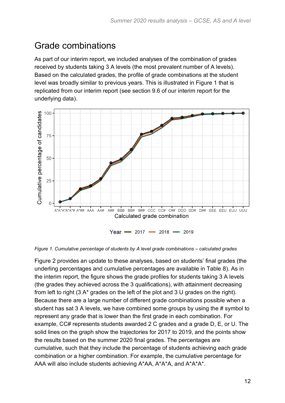#### <span id="page-11-0"></span>Grade combinations

As part of our interim report, we included analyses of the combination of grades received by students taking 3 A levels (the most prevalent number of A levels). Based on the calculated grades, the profile of grade combinations at the student level was broadly similar to previous years. This is illustrated in Figure 1 that is replicated from our interim report (see section 9.6 of our interim report for the underlying data).



*Figure 1. Cumulative percentage of students by A level grade combinations – calculated grades*

Figure 2 provides an update to these analyses, based on students' final grades (the underling percentages and cumulative percentages are available in Table 8). As in the interim report, the figure shows the grade profiles for students taking 3 A levels (the grades they achieved across the 3 qualifications), with attainment decreasing from left to right (3 A\* grades on the left of the plot and 3 U grades on the right). Because there are a large number of different grade combinations possible when a student has sat 3 A levels, we have combined some groups by using the # symbol to represent any grade that is lower than the first grade in each combination. For example, CC# represents students awarded 2 C grades and a grade D, E, or U. The solid lines on the graph show the trajectories for 2017 to 2019, and the points show the results based on the summer 2020 final grades. The percentages are cumulative, such that they include the percentage of students achieving each grade combination or a higher combination. For example, the cumulative percentage for AAA will also include students achieving A\*AA, A\*A\*A, and A\*A\*A\*.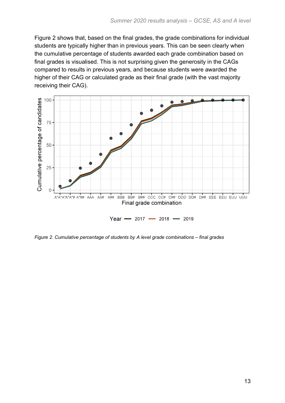Figure 2 shows that, based on the final grades, the grade combinations for individual students are typically higher than in previous years. This can be seen clearly when the cumulative percentage of students awarded each grade combination based on final grades is visualised. This is not surprising given the generosity in the CAGs compared to results in previous years, and because students were awarded the higher of their CAG or calculated grade as their final grade (with the vast majority receiving their CAG).



*Figure 2. Cumulative percentage of students by A level grade combinations – final grades*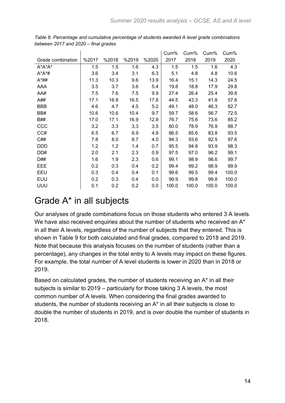|                   |       |       |       |       | Cum%  | Cum%  | Cum%  | Cum%  |
|-------------------|-------|-------|-------|-------|-------|-------|-------|-------|
| Grade combination | %2017 | %2018 | %2019 | %2020 | 2017  | 2018  | 2019  | 2020  |
| $A^*A^*A^*$       | 1.5   | 1.5   | 1.6   | 4.3   | 1.5   | 1.5   | 1.6   | 4.3   |
| $A^*A^*$ #        | 3.6   | 3.4   | 3.1   | 6.3   | 5.1   | 4.8   | 4.8   | 10.6  |
| $A^*$ ##          | 11.3  | 10.3  | 9.6   | 13.9  | 16.4  | 15.1  | 14.3  | 24.5  |
| AAA               | 3.5   | 3.7   | 3.6   | 5.4   | 19.8  | 18.8  | 17.9  | 29.8  |
| AA#               | 7.5   | 7.6   | 7.5   | 9.9   | 27.4  | 26.4  | 25.4  | 39.8  |
| A##               | 17.1  | 16.9  | 16.5  | 17.8  | 44.5  | 43.3  | 41.8  | 57.6  |
| <b>BBB</b>        | 4.6   | 4.7   | 4.5   | 5.2   | 49.1  | 48.0  | 46.3  | 62.7  |
| BB#               | 10.6  | 10.6  | 10.4  | 9.7   | 59.7  | 58.6  | 56.7  | 72.5  |
| <b>B##</b>        | 17.0  | 17.1  | 16.9  | 12.8  | 76.7  | 75.6  | 73.6  | 85.2  |
| CCC               | 3.2   | 3.3   | 3.3   | 3.5   | 80.0  | 78.9  | 76.9  | 88.7  |
| CC#               | 6.5   | 6.7   | 6.9   | 4.8   | 86.5  | 85.6  | 83.8  | 93.5  |
| C##               | 7.8   | 8.0   | 8.7   | 4.0   | 94.3  | 93.6  | 92.5  | 97.6  |
| <b>DDD</b>        | 1.2   | 1.2   | 1.4   | 0.7   | 95.5  | 94.8  | 93.9  | 98.3  |
| DD#               | 2.0   | 2.1   | 2.3   | 0.9   | 97.5  | 97.0  | 96.2  | 99.1  |
| D##               | 1.6   | 1.9   | 2.3   | 0.6   | 99.1  | 98.9  | 98.6  | 99.7  |
| EEE               | 0.2   | 0.3   | 0.4   | 0.2   | 99.4  | 99.2  | 98.9  | 99.9  |
| EEU               | 0.3   | 0.4   | 0.4   | 0.1   | 99.6  | 99.5  | 99.4  | 100.0 |
| <b>EUU</b>        | 0.2   | 0.3   | 0.4   | 0.0   | 99.9  | 99.8  | 99.8  | 100.0 |
| UUU               | 0.1   | 0.2   | 0.2   | 0.0   | 100.0 | 100.0 | 100.0 | 100.0 |

*Table 8. Percentage and cumulative percentage of students awarded A level grade combinations between 2017 and 2020 – final grades*

#### <span id="page-13-0"></span>Grade A\* in all subjects

Our analyses of grade combinations focus on those students who entered 3 A levels. We have also received enquiries about the number of students who received an A\* in all their A levels, regardless of the number of subjects that they entered. This is shown in Table 9 for both calculated and final grades, compared to 2018 and 2019. Note that because this analysis focuses on the number of students (rather than a percentage), any changes in the total entry to A levels may impact on these figures. For example, the total number of A level students is lower in 2020 than in 2018 or 2019.

Based on calculated grades, the number of students receiving an A\* in all their subjects is similar to 2019 – particularly for those taking 3 A levels, the most common number of A levels. When considering the final grades awarded to students, the number of students receiving an A\* in all their subjects is close to double the number of students in 2019, and is over double the number of students in 2018.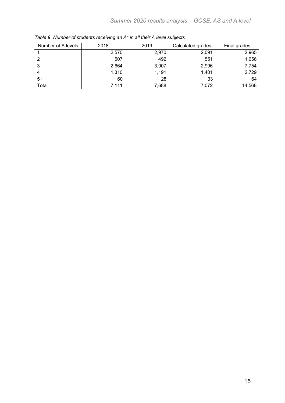<span id="page-14-0"></span>

| Number of A levels | 2018  | 2019  | Calculated grades | Final grades |
|--------------------|-------|-------|-------------------|--------------|
|                    | 2,570 | 2.970 | 2,091             | 2,965        |
| 2                  | 507   | 492   | 551               | 1,056        |
| 3                  | 2,664 | 3,007 | 2,996             | 7,754        |
| 4                  | 1,310 | 1,191 | 1,401             | 2,729        |
| $5+$               | 60    | 28    | 33                | 64           |
| Total              | 7,111 | 7,688 | 7,072             | 14,568       |

*Table 9. Number of students receiving an A\* in all their A level subjects*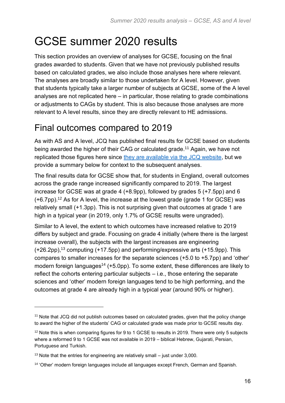# GCSE summer 2020 results

This section provides an overview of analyses for GCSE, focusing on the final grades awarded to students. Given that we have not previously published results based on calculated grades, we also include those analyses here where relevant. The analyses are broadly similar to those undertaken for A level. However, given that students typically take a larger number of subjects at GCSE, some of the A level analyses are not replicated here – in particular, those relating to grade combinations or adjustments to CAGs by student. This is also because those analyses are more relevant to A level results, since they are directly relevant to HE admissions.

## <span id="page-15-0"></span>Final outcomes compared to 2019

As with AS and A level, JCQ has published final results for GCSE based on students being awarded the higher of their CAG or calculated grade.<sup>11</sup> Again, we have not replicated those figures here since [they are available via the JCQ website,](https://www.jcq.org.uk/examination-results/) but we provide a summary below for context to the subsequent analyses.

The final results data for GCSE show that, for students in England, overall outcomes across the grade range increased significantly compared to 2019. The largest increase for GCSE was at grade 4 (+8.9pp), followed by grades 5 (+7.5pp) and 6 (+6.7pp). <sup>12</sup> As for A level, the increase at the lowest grade (grade 1 for GCSE) was relatively small (+1.3pp). This is not surprising given that outcomes at grade 1 are high in a typical year (in 2019, only 1.7% of GCSE results were ungraded).

Similar to A level, the extent to which outcomes have increased relative to 2019 differs by subject and grade. Focusing on grade 4 initially (where there is the largest increase overall), the subjects with the largest increases are engineering  $(+26.2$ pp),<sup>13</sup> computing  $(+17.5$ pp) and performing/expressive arts  $(+15.9$ pp). This compares to smaller increases for the separate sciences (+5.0 to +5.7pp) and 'other' modern foreign languages<sup>14</sup> (+5.0pp). To some extent, these differences are likely to reflect the cohorts entering particular subjects – i.e., those entering the separate sciences and 'other' modern foreign languages tend to be high performing, and the outcomes at grade 4 are already high in a typical year (around 90% or higher).

<sup>&</sup>lt;sup>11</sup> Note that JCQ did not publish outcomes based on calculated grades, given that the policy change to award the higher of the students' CAG or calculated grade was made prior to GCSE results day.

<sup>&</sup>lt;sup>12</sup> Note this is when comparing figures for 9 to 1 GCSE to results in 2019. There were only 5 subjects where a reformed 9 to 1 GCSE was not available in 2019 – biblical Hebrew, Gujarati, Persian, Portuguese and Turkish.

<sup>&</sup>lt;sup>13</sup> Note that the entries for engineering are relatively small  $-$  just under 3,000.

<sup>14</sup> 'Other' modern foreign languages include all languages except French, German and Spanish.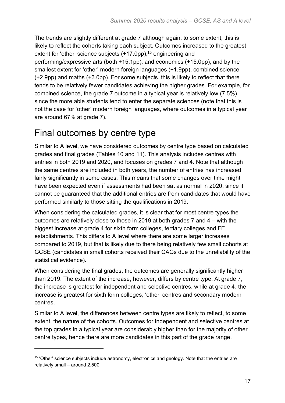The trends are slightly different at grade 7 although again, to some extent, this is likely to reflect the cohorts taking each subject. Outcomes increased to the greatest extent for 'other' science subjects (+17.0pp), <sup>15</sup> engineering and performing/expressive arts (both +15.1pp), and economics (+15.0pp), and by the smallest extent for 'other' modern foreign languages (+1.9pp), combined science (+2.9pp) and maths (+3.0pp). For some subjects, this is likely to reflect that there tends to be relatively fewer candidates achieving the higher grades. For example, for combined science, the grade 7 outcome in a typical year is relatively low (7.5%), since the more able students tend to enter the separate sciences (note that this is not the case for 'other' modern foreign languages, where outcomes in a typical year are around 67% at grade 7).

#### <span id="page-16-0"></span>Final outcomes by centre type

Similar to A level, we have considered outcomes by centre type based on calculated grades and final grades (Tables 10 and 11). This analysis includes centres with entries in both 2019 and 2020, and focuses on grades 7 and 4. Note that although the same centres are included in both years, the number of entries has increased fairly significantly in some cases. This means that some changes over time might have been expected even if assessments had been sat as normal in 2020, since it cannot be guaranteed that the additional entries are from candidates that would have performed similarly to those sitting the qualifications in 2019.

When considering the calculated grades, it is clear that for most centre types the outcomes are relatively close to those in 2019 at both grades 7 and 4 – with the biggest increase at grade 4 for sixth form colleges, tertiary colleges and FE establishments. This differs to A level where there are some larger increases compared to 2019, but that is likely due to there being relatively few small cohorts at GCSE (candidates in small cohorts received their CAGs due to the unreliability of the statistical evidence).

When considering the final grades, the outcomes are generally significantly higher than 2019. The extent of the increase, however, differs by centre type. At grade 7, the increase is greatest for independent and selective centres, while at grade 4, the increase is greatest for sixth form colleges, 'other' centres and secondary modern centres.

Similar to A level, the differences between centre types are likely to reflect, to some extent, the nature of the cohorts. Outcomes for independent and selective centres at the top grades in a typical year are considerably higher than for the majority of other centre types, hence there are more candidates in this part of the grade range.

<sup>&</sup>lt;sup>15</sup> 'Other' science subjects include astronomy, electronics and geology. Note that the entries are relatively small – around 2,500.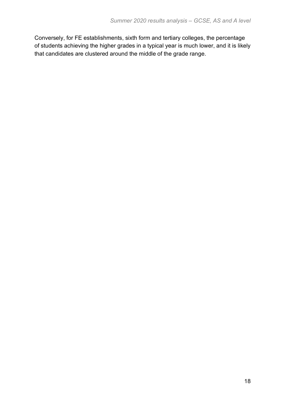Conversely, for FE establishments, sixth form and tertiary colleges, the percentage of students achieving the higher grades in a typical year is much lower, and it is likely that candidates are clustered around the middle of the grade range.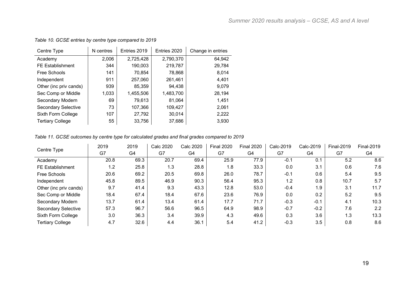| Centre Type             | N centres | Entries 2019 | Entries 2020 | Change in entries |
|-------------------------|-----------|--------------|--------------|-------------------|
| Academy                 | 2,006     | 2,725,428    | 2,790,370    | 64,942            |
| <b>FE Establishment</b> | 344       | 190,003      | 219,787      | 29,784            |
| Free Schools            | 141       | 70,854       | 78,868       | 8,014             |
| Independent             | 911       | 257,060      | 261,461      | 4,401             |
| Other (inc priv cands)  | 939       | 85,359       | 94,438       | 9,079             |
| Sec Comp or Middle      | 1,033     | 1,455,506    | 1,483,700    | 28,194            |
| Secondary Modern        | 69        | 79,613       | 81,064       | 1,451             |
| Secondary Selective     | 73        | 107,366      | 109,427      | 2,061             |
| Sixth Form College      | 107       | 27,792       | 30,014       | 2,222             |
| <b>Tertiary College</b> | 55        | 33,756       | 37,686       | 3,930             |

*Table 10. GCSE entries by centre type compared to 2019*

#### *Table 11. GCSE outcomes by centre type for calculated grades and final grades compared to 2019*

| Centre Type                | 2019 | 2019 | <b>Calc 2020</b> | <b>Calc 2020</b> | <b>Final 2020</b> | <b>Final 2020</b> | Calc-2019 | Calc-2019 | <b>Final-2019</b> | <b>Final-2019</b> |
|----------------------------|------|------|------------------|------------------|-------------------|-------------------|-----------|-----------|-------------------|-------------------|
|                            | G7   | G4   | G7               | G4               | G7                | G4                | G7        | G4        | G7                | G4                |
| Academy                    | 20.8 | 69.3 | 20.7             | 69.4             | 25.9              | 77.9              | $-0.1$    | 0.1       | 5.2               | 8.6               |
| <b>FE Establishment</b>    | 1.2  | 25.8 | 1.3              | 28.8             | 1.8               | 33.3              | 0.0       | 3.1       | 0.6               | 7.6               |
| Free Schools               | 20.6 | 69.2 | 20.5             | 69.8             | 26.0              | 78.7              | $-0.1$    | 0.6       | 5.4               | 9.5               |
| Independent                | 45.8 | 89.5 | 46.9             | 90.3             | 56.4              | 95.3              | 1.2       | 0.8       | 10.7              | 5.7               |
| Other (inc priv cands)     | 9.7  | 41.4 | 9.3              | 43.3             | 12.8              | 53.0              | $-0.4$    | 1.9       | 3.1               | 11.7              |
| Sec Comp or Middle         | 18.4 | 67.4 | 18.4             | 67.6             | 23.6              | 76.9              | 0.0       | 0.2       | 5.2               | 9.5               |
| Secondary Modern           | 13.7 | 61.4 | 13.4             | 61.4             | 17.7              | 71.7              | $-0.3$    | $-0.1$    | 4.1               | 10.3              |
| <b>Secondary Selective</b> | 57.3 | 96.7 | 56.6             | 96.5             | 64.9              | 98.9              | $-0.7$    | $-0.2$    | 7.6               | 2.2               |
| Sixth Form College         | 3.0  | 36.3 | 3.4              | 39.9             | 4.3               | 49.6              | 0.3       | 3.6       | 1.3               | 13.3              |
| <b>Tertiary College</b>    | 4.7  | 32.6 | 4.4              | 36.1             | 5.4               | 41.2              | $-0.3$    | 3.5       | 0.8               | 8.6               |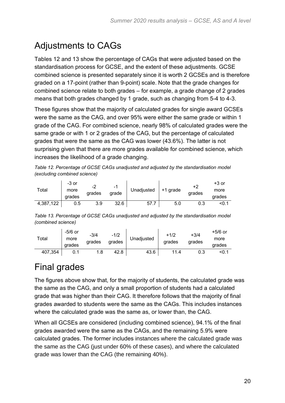## <span id="page-19-0"></span>Adjustments to CAGs

Tables 12 and 13 show the percentage of CAGs that were adjusted based on the standardisation process for GCSE, and the extent of these adjustments. GCSE combined science is presented separately since it is worth 2 GCSEs and is therefore graded on a 17-point (rather than 9-point) scale. Note that the grade changes for combined science relate to both grades – for example, a grade change of 2 grades means that both grades changed by 1 grade, such as changing from 5-4 to 4-3.

These figures show that the majority of calculated grades for single award GCSEs were the same as the CAG, and over 95% were either the same grade or within 1 grade of the CAG. For combined science, nearly 98% of calculated grades were the same grade or with 1 or 2 grades of the CAG, but the percentage of calculated grades that were the same as the CAG was lower (43.6%). The latter is not surprising given that there are more grades available for combined science, which increases the likelihood of a grade changing.

*Table 12. Percentage of GCSE CAGs unadjusted and adjusted by the standardisation model (excluding combined science)*

| Total     | -3 or<br>more<br>grades | $\overline{\phantom{a}}$<br>arades | $\overline{\phantom{0}}$<br>grade | Unadjusted | $+1$ grade | +2<br>grades | $+3$ or<br>more<br>grades |
|-----------|-------------------------|------------------------------------|-----------------------------------|------------|------------|--------------|---------------------------|
| 4,387,122 | 0.5                     | 3.9                                | 32.6                              | - 57. .    | 5.0        | 0.3          | <0.1                      |

*Table 13. Percentage of GCSE CAGs unadjusted and adjusted by the standardisation model (combined science)*

| $\tau$ otal | -5/6 or<br>more<br>grades | $-3/4$<br>grades | $-1/2$<br>grades | Unadjusted | $+1/2$<br>grades | $+3/4$<br>grades | +5/6 or<br>more<br>grades |
|-------------|---------------------------|------------------|------------------|------------|------------------|------------------|---------------------------|
| 407,354     |                           |                  | 42.8             | 43.6       | 114              | 0.3              | <0.1                      |

## <span id="page-19-1"></span>Final grades

The figures above show that, for the majority of students, the calculated grade was the same as the CAG, and only a small proportion of students had a calculated grade that was higher than their CAG. It therefore follows that the majority of final grades awarded to students were the same as the CAGs. This includes instances where the calculated grade was the same as, or lower than, the CAG.

When all GCSEs are considered (including combined science), 94.1% of the final grades awarded were the same as the CAGs, and the remaining 5.9% were calculated grades. The former includes instances where the calculated grade was the same as the CAG (just under 60% of these cases), and where the calculated grade was lower than the CAG (the remaining 40%).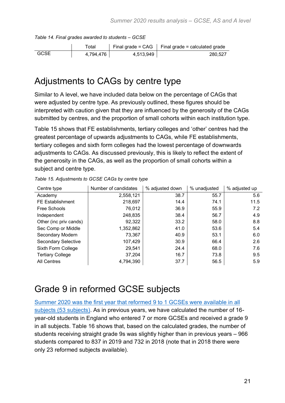<span id="page-20-0"></span>

|             | Total     |           | Final grade = $CAG$   Final grade = calculated grade |
|-------------|-----------|-----------|------------------------------------------------------|
| <b>GCSE</b> | 4,794,476 | 4,513,949 | 280.527                                              |

*Table 14. Final grades awarded to students – GCSE*

#### Adjustments to CAGs by centre type

Similar to A level, we have included data below on the percentage of CAGs that were adjusted by centre type. As previously outlined, these figures should be interpreted with caution given that they are influenced by the generosity of the CAGs submitted by centres, and the proportion of small cohorts within each institution type.

Table 15 shows that FE establishments, tertiary colleges and 'other' centres had the greatest percentage of upwards adjustments to CAGs, while FE establishments, tertiary colleges and sixth form colleges had the lowest percentage of downwards adjustments to CAGs. As discussed previously, this is likely to reflect the extent of the generosity in the CAGs, as well as the proportion of small cohorts within a subject and centre type.

| Centre type                | Number of candidates | % adjusted down | % unadjusted | % adjusted up |
|----------------------------|----------------------|-----------------|--------------|---------------|
| Academy                    | 2,558,121            | 38.7            | 55.7         | 5.6           |
| <b>FE Establishment</b>    | 218,697              | 14.4            | 74.1         | 11.5          |
| Free Schools               | 76,012               | 36.9            | 55.9         | 7.2           |
| Independent                | 248,835              | 38.4            | 56.7         | 4.9           |
| Other (inc priv cands)     | 92,322               | 33.2            | 58.0         | 8.8           |
| Sec Comp or Middle         | 1,352,862            | 41.0            | 53.6         | 5.4           |
| Secondary Modern           | 73,367               | 40.9            | 53.1         | 6.0           |
| <b>Secondary Selective</b> | 107,429              | 30.9            | 66.4         | 2.6           |
| Sixth Form College         | 29,541               | 24.4            | 68.0         | 7.6           |
| <b>Tertiary College</b>    | 37,204               | 16.7            | 73.8         | 9.5           |
| <b>All Centres</b>         | 4,794,390            | 37.7            | 56.5         | 5.9           |

*Table 15. Adjustments to GCSE CAGs by centre type*

## <span id="page-20-1"></span>Grade 9 in reformed GCSE subjects

[Summer 2020 was the first year that reformed 9 to 1 GCSEs were available in all](https://www.gov.uk/government/publications/get-the-facts-gcse-and-a-level-reform/get-the-facts-gcse-reform)  [subjects \(53 subjects\).](https://www.gov.uk/government/publications/get-the-facts-gcse-and-a-level-reform/get-the-facts-gcse-reform) As in previous years, we have calculated the number of 16 year-old students in England who entered 7 or more GCSEs and received a grade 9 in all subjects. Table 16 shows that, based on the calculated grades, the number of students receiving straight grade 9s was slightly higher than in previous years – 966 students compared to 837 in 2019 and 732 in 2018 (note that in 2018 there were only 23 reformed subjects available).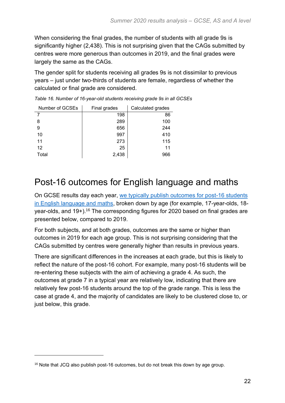When considering the final grades, the number of students with all grade 9s is significantly higher (2,438). This is not surprising given that the CAGs submitted by centres were more generous than outcomes in 2019, and the final grades were largely the same as the CAGs.

The gender split for students receiving all grades 9s is not dissimilar to previous years – just under two-thirds of students are female, regardless of whether the calculated or final grade are considered.

| Number of GCSEs | Final grades | Calculated grades |  |
|-----------------|--------------|-------------------|--|
|                 | 198          | 86                |  |
| 8               | 289          | 100               |  |
| 9               | 656          | 244               |  |
| 10              | 997          | 410               |  |
| 11              | 273          | 115               |  |
| 12              | 25           | 11                |  |
| Total           | 2,438        | 966               |  |

*Table 16. Number of 16-year-old students receiving grade 9s in all GCSEs*

#### <span id="page-21-0"></span>Post-16 outcomes for English language and maths

On GCSE results day each year, [we typically publish outcomes for post-16 students](https://www.gov.uk/government/news/guide-to-gcse-results-for-england-2019)  [in English language and maths,](https://www.gov.uk/government/news/guide-to-gcse-results-for-england-2019) broken down by age (for example, 17-year-olds, 18 year-olds, and 19+).<sup>16</sup> The corresponding figures for 2020 based on final grades are presented below, compared to 2019.

For both subjects, and at both grades, outcomes are the same or higher than outcomes in 2019 for each age group. This is not surprising considering that the CAGs submitted by centres were generally higher than results in previous years.

There are significant differences in the increases at each grade, but this is likely to reflect the nature of the post-16 cohort. For example, many post-16 students will be re-entering these subjects with the aim of achieving a grade 4. As such, the outcomes at grade 7 in a typical year are relatively low, indicating that there are relatively few post-16 students around the top of the grade range. This is less the case at grade 4, and the majority of candidates are likely to be clustered close to, or just below, this grade.

<sup>&</sup>lt;sup>16</sup> Note that JCQ also publish post-16 outcomes, but do not break this down by age group.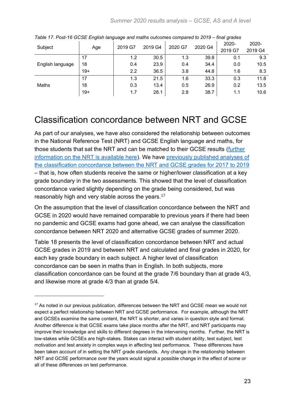| Subject          | ້<br>ຼ<br>Age | ັ<br>2019 G7     | 2019 G4 | 2020 G7 | 2020 G4 | 2020-<br>2019 G7 | 2020-<br>2019 G4 |
|------------------|---------------|------------------|---------|---------|---------|------------------|------------------|
| English language | 17            | 1.2              | 30.5    | 1.3     | 39.8    | 0.1              | 9.3              |
|                  | 18            | 0.4              | 23.9    | 0.4     | 34.4    | 0.0              | 10.5             |
|                  | $19+$         | $2.2\phantom{0}$ | 36.5    | 3.8     | 44.8    | 1.6              | 8.3              |
| Maths            | 17            | 1.3              | 21.5    | 1.6     | 33.3    | 0.3              | 11.8             |
|                  | 18            | 0.3              | 13.4    | 0.5     | 26.9    | 0.2              | 13.5             |
|                  | $19+$         | 1.7              | 28.1    | 2.8     | 38.7    | 1.1              | 10.6             |

*Table 17. Post-16 GCSE English language and maths outcomes compared to 2019 – final grades*

#### <span id="page-22-0"></span>Classification concordance between NRT and GCSE

As part of our analyses, we have also considered the relationship between outcomes in the National Reference Test (NRT) and GCSE English language and maths, for those students that sat the NRT and can be matched to their GCSE results [\(further](https://www.gov.uk/government/publications/the-national-reference-test-in-2020)  [information on the NRT is available here\)](https://www.gov.uk/government/publications/the-national-reference-test-in-2020). We have [previously published analyses of](https://www.gov.uk/government/publications/contextual-information-about-the-national-reference-test)  [the classification concordance between the NRT and GCSE](https://www.gov.uk/government/publications/contextual-information-about-the-national-reference-test) grades for 2017 to 2019 – that is, how often students receive the same or higher/lower classification at a key grade boundary in the two assessments. This showed that the level of classification concordance varied slightly depending on the grade being considered, but was reasonably high and very stable across the years.<sup>17</sup>

On the assumption that the level of classification concordance between the NRT and GCSE in 2020 would have remained comparable to previous years if there had been no pandemic and GCSE exams had gone ahead, we can analyse the classification concordance between NRT 2020 and alternative GCSE grades of summer 2020.

Table 18 presents the level of classification concordance between NRT and actual GCSE grades in 2019 and between NRT and calculated and final grades in 2020, for each key grade boundary in each subject. A higher level of classification concordance can be seen in maths than in English. In both subjects, more classification concordance can be found at the grade 7/6 boundary than at grade 4/3, and likewise more at grade 4/3 than at grade 5/4.

<sup>&</sup>lt;sup>17</sup> As noted in our previous publication, differences between the NRT and GCSE mean we would not expect a perfect relationship between NRT and GCSE performance. For example, although the NRT and GCSEs examine the same content, the NRT is shorter, and varies in question style and format. Another difference is that GCSE exams take place months after the NRT, and NRT participants may improve their knowledge and skills to different degrees in the intervening months. Further, the NRT is low-stakes while GCSEs are high-stakes. Stakes can interact with student ability, test subject, test motivation and test anxiety in complex ways in affecting test performance. These differences have been taken account of in setting the NRT grade standards. Any change in the relationship between NRT and GCSE performance over the years would signal a possible change in the effect of some or all of these differences on test performance.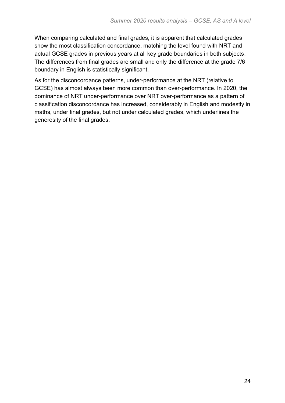When comparing calculated and final grades, it is apparent that calculated grades show the most classification concordance, matching the level found with NRT and actual GCSE grades in previous years at all key grade boundaries in both subjects. The differences from final grades are small and only the difference at the grade 7/6 boundary in English is statistically significant.

As for the disconcordance patterns, under-performance at the NRT (relative to GCSE) has almost always been more common than over-performance. In 2020, the dominance of NRT under-performance over NRT over-performance as a pattern of classification disconcordance has increased, considerably in English and modestly in maths, under final grades, but not under calculated grades, which underlines the generosity of the final grades.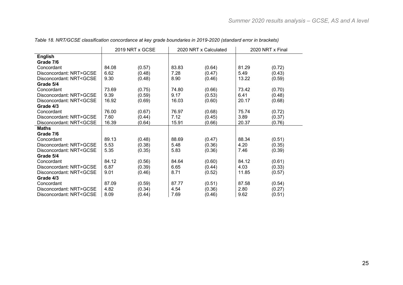|                                                                                                                                 | 2019 NRT x GCSE |        | 2020 NRT x Calculated |        | 2020 NRT x Final |        |
|---------------------------------------------------------------------------------------------------------------------------------|-----------------|--------|-----------------------|--------|------------------|--------|
| <b>English</b>                                                                                                                  |                 |        |                       |        |                  |        |
| Grade 7/6                                                                                                                       |                 |        |                       |        |                  |        |
| Concordant                                                                                                                      | 84.08           | (0.57) | 83.83                 | (0.64) | 81.29            | (0.72) |
| Disconcordant: NRT>GCSE                                                                                                         | 6.62            | (0.48) | 7.28                  | (0.47) | 5.49             | (0.43) |
| Disconcordant: NRT <gcse< td=""><td>9.30</td><td>(0.48)</td><td>8.90</td><td>(0.46)</td><td>13.22</td><td>(0.59)</td></gcse<>   | 9.30            | (0.48) | 8.90                  | (0.46) | 13.22            | (0.59) |
| Grade 5/4                                                                                                                       |                 |        |                       |        |                  |        |
| Concordant                                                                                                                      | 73.69           | (0.75) | 74.80                 | (0.66) | 73.42            | (0.70) |
| Disconcordant: NRT>GCSE                                                                                                         | 9.39            | (0.59) | 9.17                  | (0.53) | 6.41             | (0.48) |
| Disconcordant: NRT <gcse< td=""><td>16.92</td><td>(0.69)</td><td>16.03</td><td>(0.60)</td><td>20.17</td><td>(0.68)</td></gcse<> | 16.92           | (0.69) | 16.03                 | (0.60) | 20.17            | (0.68) |
| Grade 4/3                                                                                                                       |                 |        |                       |        |                  |        |
| Concordant                                                                                                                      | 76.00           | (0.67) | 76.97                 | (0.68) | 75.74            | (0.72) |
| Disconcordant: NRT>GCSE                                                                                                         | 7.60            | (0.44) | 7.12                  | (0.45) | 3.89             | (0.37) |
| Disconcordant: NRT <gcse< td=""><td>16.39</td><td>(0.64)</td><td>15.91</td><td>(0.66)</td><td>20.37</td><td>(0.76)</td></gcse<> | 16.39           | (0.64) | 15.91                 | (0.66) | 20.37            | (0.76) |
| <b>Maths</b>                                                                                                                    |                 |        |                       |        |                  |        |
| Grade 7/6                                                                                                                       |                 |        |                       |        |                  |        |
| Concordant                                                                                                                      | 89.13           | (0.48) | 88.69                 | (0.47) | 88.34            | (0.51) |
| Disconcordant: NRT>GCSE                                                                                                         | 5.53            | (0.38) | 5.48                  | (0.36) | 4.20             | (0.35) |
| Disconcordant: NRT <gcse< td=""><td>5.35</td><td>(0.35)</td><td>5.83</td><td>(0.36)</td><td>7.46</td><td>(0.39)</td></gcse<>    | 5.35            | (0.35) | 5.83                  | (0.36) | 7.46             | (0.39) |
| Grade 5/4                                                                                                                       |                 |        |                       |        |                  |        |
| Concordant                                                                                                                      | 84.12           | (0.56) | 84.64                 | (0.60) | 84.12            | (0.61) |
| Disconcordant: NRT>GCSE                                                                                                         | 6.87            | (0.39) | 6.65                  | (0.44) | 4.03             | (0.33) |
| Disconcordant: NRT <gcse< td=""><td>9.01</td><td>(0.46)</td><td>8.71</td><td>(0.52)</td><td>11.85</td><td>(0.57)</td></gcse<>   | 9.01            | (0.46) | 8.71                  | (0.52) | 11.85            | (0.57) |
| Grade 4/3                                                                                                                       |                 |        |                       |        |                  |        |
| Concordant                                                                                                                      | 87.09           | (0.59) | 87.77                 | (0.51) | 87.58            | (0.54) |
| Disconcordant: NRT>GCSE                                                                                                         | 4.82            | (0.34) | 4.54                  | (0.36) | 2.80             | (0.27) |
| Disconcordant: NRT <gcse< td=""><td>8.09</td><td>(0.44)</td><td>7.69</td><td>(0.46)</td><td>9.62</td><td>(0.51)</td></gcse<>    | 8.09            | (0.44) | 7.69                  | (0.46) | 9.62             | (0.51) |

*Table 18. NRT/GCSE classification concordance at key grade boundaries in 2019-2020 (standard error in brackets)*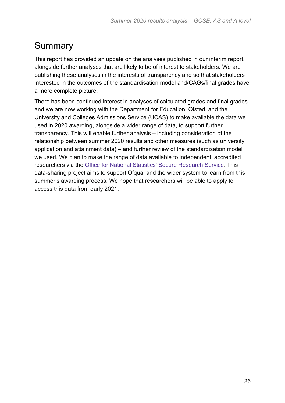#### <span id="page-25-0"></span>**Summary**

This report has provided an update on the analyses published in our interim report, alongside further analyses that are likely to be of interest to stakeholders. We are publishing these analyses in the interests of transparency and so that stakeholders interested in the outcomes of the standardisation model and/CAGs/final grades have a more complete picture.

There has been continued interest in analyses of calculated grades and final grades and we are now working with the Department for Education, Ofsted, and the University and Colleges Admissions Service (UCAS) to make available the data we used in 2020 awarding, alongside a wider range of data, to support further transparency. This will enable further analysis – including consideration of the relationship between summer 2020 results and other measures (such as university application and attainment data) – and further review of the standardisation model we used. We plan to make the range of data available to independent, accredited researchers via the Office for National Statistics' Secure [Research](https://www.ons.gov.uk/aboutus/whatwedo/statistics/requestingstatistics/approvedresearcherscheme) Service. This data-sharing project aims to support Ofqual and the wider system to learn from this summer's awarding process. We hope that researchers will be able to apply to access this data from early 2021.